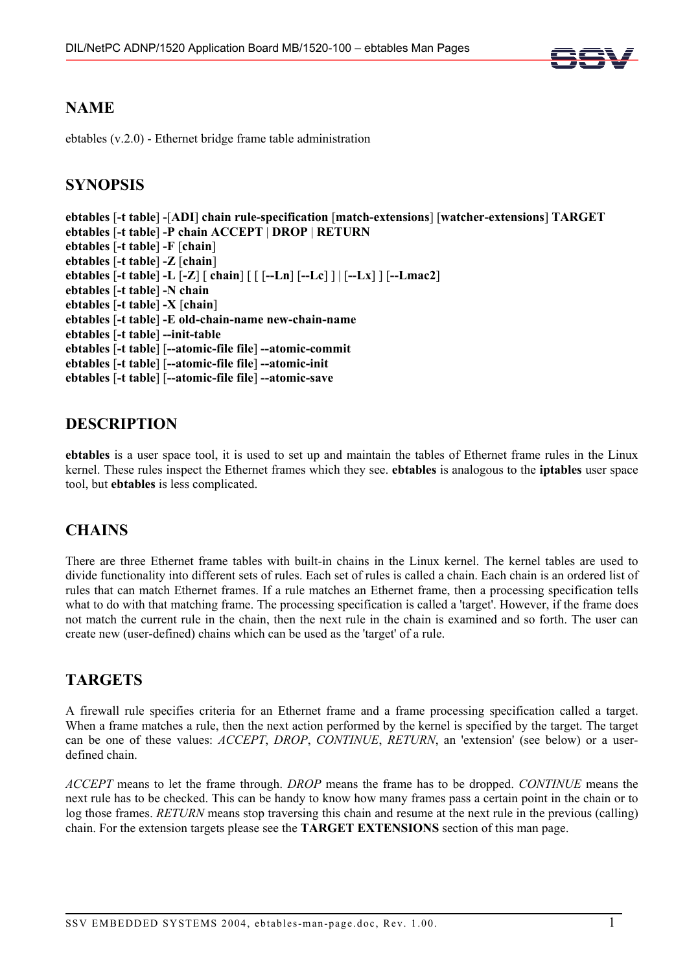

# **NAME**

ebtables (v.2.0) - Ethernet bridge frame table administration

# **SYNOPSIS**

```
ebtables [-t table] -[ADI] chain rule-specification [match-extensions] [watcher-extensions] TARGET 
ebtables [-t table] -P chain ACCEPT | DROP | RETURN 
ebtables [-t table] -F [chain] 
ebtables [-t table] -Z [chain] 
ebtables [-t table] -L [-Z] [ chain] [ [ [--Ln] [--Lc] ] | [--Lx] ] [--Lmac2] 
ebtables [-t table] -N chain 
ebtables [-t table] -X [chain] 
ebtables [-t table] -E old-chain-name new-chain-name 
ebtables [-t table] --init-table 
ebtables [-t table] [--atomic-file file] --atomic-commit 
ebtables [-t table] [--atomic-file file] --atomic-init 
ebtables [-t table] [--atomic-file file] --atomic-save
```
# **DESCRIPTION**

**ebtables** is a user space tool, it is used to set up and maintain the tables of Ethernet frame rules in the Linux kernel. These rules inspect the Ethernet frames which they see. **ebtables** is analogous to the **iptables** user space tool, but **ebtables** is less complicated.

# **CHAINS**

There are three Ethernet frame tables with built-in chains in the Linux kernel. The kernel tables are used to divide functionality into different sets of rules. Each set of rules is called a chain. Each chain is an ordered list of rules that can match Ethernet frames. If a rule matches an Ethernet frame, then a processing specification tells what to do with that matching frame. The processing specification is called a 'target'. However, if the frame does not match the current rule in the chain, then the next rule in the chain is examined and so forth. The user can create new (user-defined) chains which can be used as the 'target' of a rule.

# **TARGETS**

A firewall rule specifies criteria for an Ethernet frame and a frame processing specification called a target. When a frame matches a rule, then the next action performed by the kernel is specified by the target. The target can be one of these values: *ACCEPT*, *DROP*, *CONTINUE*, *RETURN*, an 'extension' (see below) or a userdefined chain.

*ACCEPT* means to let the frame through. *DROP* means the frame has to be dropped. *CONTINUE* means the next rule has to be checked. This can be handy to know how many frames pass a certain point in the chain or to log those frames. *RETURN* means stop traversing this chain and resume at the next rule in the previous (calling) chain. For the extension targets please see the **TARGET EXTENSIONS** section of this man page.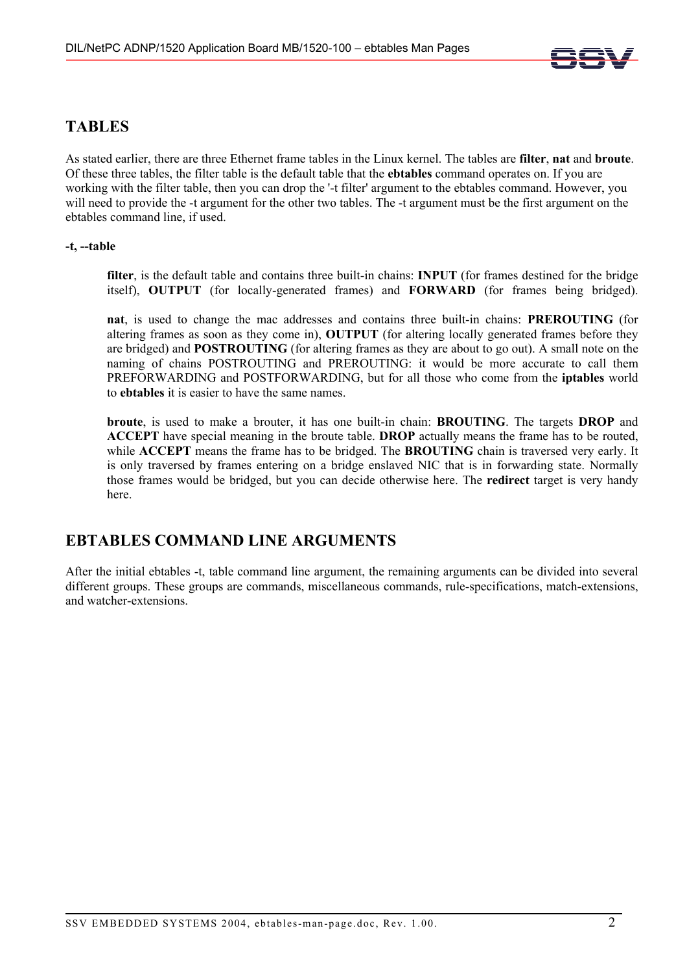

# **TABLES**

As stated earlier, there are three Ethernet frame tables in the Linux kernel. The tables are **filter**, **nat** and **broute**. Of these three tables, the filter table is the default table that the **ebtables** command operates on. If you are working with the filter table, then you can drop the '-t filter' argument to the ebtables command. However, you will need to provide the -t argument for the other two tables. The -t argument must be the first argument on the ebtables command line, if used.

# **-t, --table**

**filter**, is the default table and contains three built-in chains: **INPUT** (for frames destined for the bridge itself), **OUTPUT** (for locally-generated frames) and **FORWARD** (for frames being bridged).

**nat**, is used to change the mac addresses and contains three built-in chains: **PREROUTING** (for altering frames as soon as they come in), **OUTPUT** (for altering locally generated frames before they are bridged) and **POSTROUTING** (for altering frames as they are about to go out). A small note on the naming of chains POSTROUTING and PREROUTING: it would be more accurate to call them PREFORWARDING and POSTFORWARDING, but for all those who come from the **iptables** world to **ebtables** it is easier to have the same names.

**broute**, is used to make a brouter, it has one built-in chain: **BROUTING**. The targets **DROP** and **ACCEPT** have special meaning in the broute table. **DROP** actually means the frame has to be routed, while **ACCEPT** means the frame has to be bridged. The **BROUTING** chain is traversed very early. It is only traversed by frames entering on a bridge enslaved NIC that is in forwarding state. Normally those frames would be bridged, but you can decide otherwise here. The **redirect** target is very handy here.

# **EBTABLES COMMAND LINE ARGUMENTS**

After the initial ebtables -t, table command line argument, the remaining arguments can be divided into several different groups. These groups are commands, miscellaneous commands, rule-specifications, match-extensions, and watcher-extensions.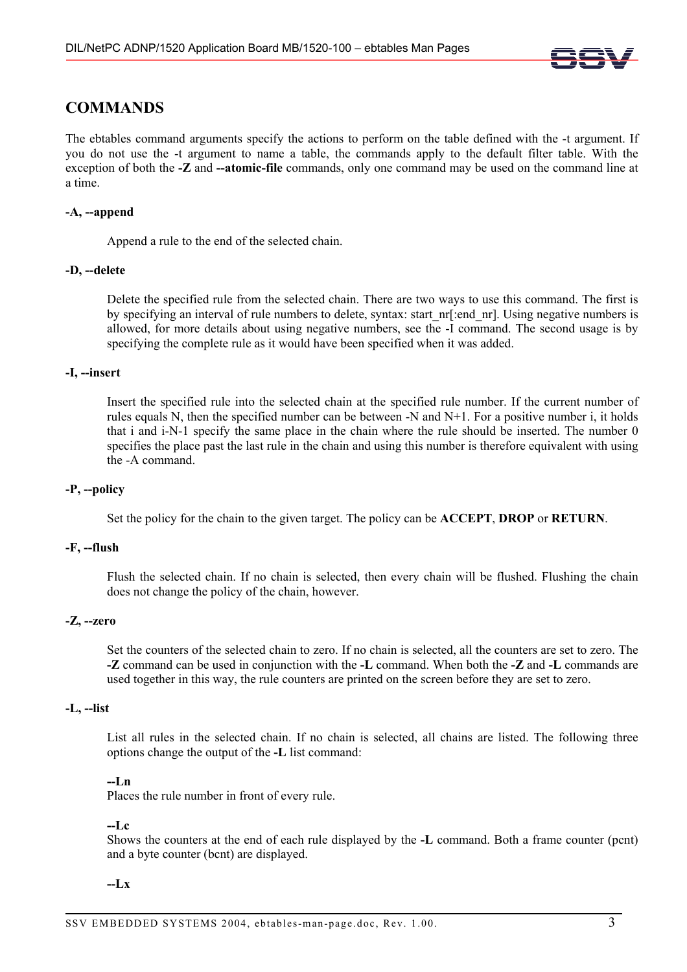

# **COMMANDS**

The ebtables command arguments specify the actions to perform on the table defined with the -t argument. If you do not use the -t argument to name a table, the commands apply to the default filter table. With the exception of both the **-Z** and **--atomic-file** commands, only one command may be used on the command line at a time.

### **-A, --append**

Append a rule to the end of the selected chain.

### **-D, --delete**

Delete the specified rule from the selected chain. There are two ways to use this command. The first is by specifying an interval of rule numbers to delete, syntax: start nr[:end\_nr]. Using negative numbers is allowed, for more details about using negative numbers, see the -I command. The second usage is by specifying the complete rule as it would have been specified when it was added.

### **-I, --insert**

Insert the specified rule into the selected chain at the specified rule number. If the current number of rules equals N, then the specified number can be between -N and N+1. For a positive number i, it holds that i and i-N-1 specify the same place in the chain where the rule should be inserted. The number 0 specifies the place past the last rule in the chain and using this number is therefore equivalent with using the -A command.

### **-P, --policy**

Set the policy for the chain to the given target. The policy can be **ACCEPT**, **DROP** or **RETURN**.

### **-F, --flush**

Flush the selected chain. If no chain is selected, then every chain will be flushed. Flushing the chain does not change the policy of the chain, however.

### **-Z, --zero**

Set the counters of the selected chain to zero. If no chain is selected, all the counters are set to zero. The **-Z** command can be used in conjunction with the **-L** command. When both the **-Z** and **-L** commands are used together in this way, the rule counters are printed on the screen before they are set to zero.

# **-L, --list**

List all rules in the selected chain. If no chain is selected, all chains are listed. The following three options change the output of the **-L** list command:

### **--Ln**

Places the rule number in front of every rule.

### **--Lc**

Shows the counters at the end of each rule displayed by the **-L** command. Both a frame counter (pcnt) and a byte counter (bcnt) are displayed.

### **--Lx**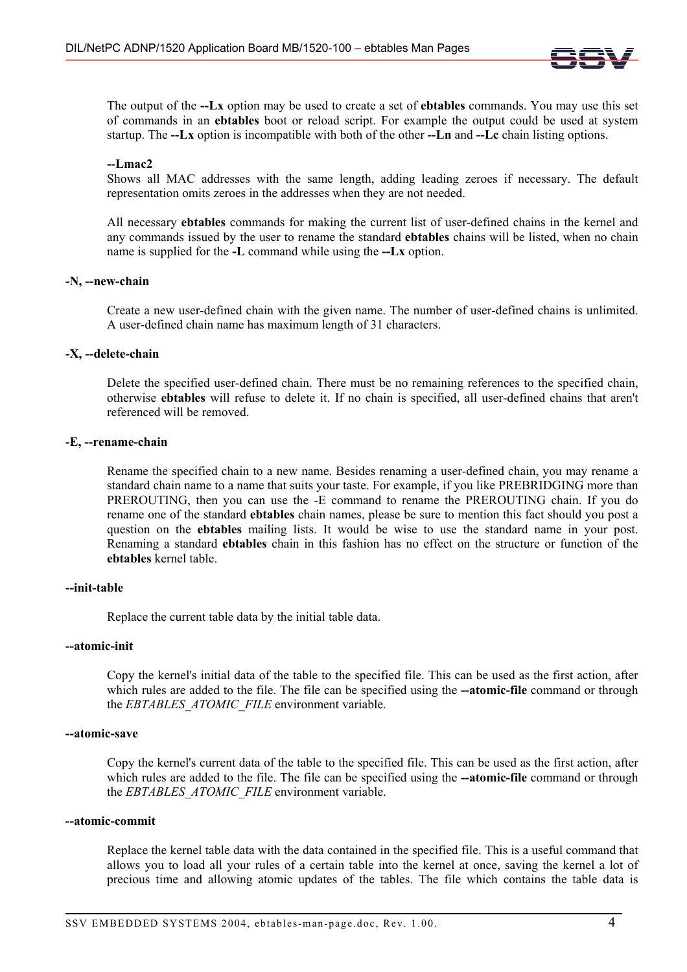

The output of the **--Lx** option may be used to create a set of **ebtables** commands. You may use this set of commands in an **ebtables** boot or reload script. For example the output could be used at system startup. The **--Lx** option is incompatible with both of the other **--Ln** and **--Lc** chain listing options.

### **--Lmac2**

Shows all MAC addresses with the same length, adding leading zeroes if necessary. The default representation omits zeroes in the addresses when they are not needed.

All necessary **ebtables** commands for making the current list of user-defined chains in the kernel and any commands issued by the user to rename the standard **ebtables** chains will be listed, when no chain name is supplied for the **-L** command while using the **--Lx** option.

### **-N, --new-chain**

Create a new user-defined chain with the given name. The number of user-defined chains is unlimited. A user-defined chain name has maximum length of 31 characters.

### **-X, --delete-chain**

Delete the specified user-defined chain. There must be no remaining references to the specified chain, otherwise **ebtables** will refuse to delete it. If no chain is specified, all user-defined chains that aren't referenced will be removed.

### **-E, --rename-chain**

Rename the specified chain to a new name. Besides renaming a user-defined chain, you may rename a standard chain name to a name that suits your taste. For example, if you like PREBRIDGING more than PREROUTING, then you can use the -E command to rename the PREROUTING chain. If you do rename one of the standard **ebtables** chain names, please be sure to mention this fact should you post a question on the **ebtables** mailing lists. It would be wise to use the standard name in your post. Renaming a standard **ebtables** chain in this fashion has no effect on the structure or function of the **ebtables** kernel table.

### **--init-table**

Replace the current table data by the initial table data.

### **--atomic-init**

Copy the kernel's initial data of the table to the specified file. This can be used as the first action, after which rules are added to the file. The file can be specified using the **--atomic-file** command or through the **EBTABLES** ATOMIC FILE environment variable.

### **--atomic-save**

Copy the kernel's current data of the table to the specified file. This can be used as the first action, after which rules are added to the file. The file can be specified using the **--atomic-file** command or through the *EBTABLES\_ATOMIC\_FILE* environment variable.

### **--atomic-commit**

Replace the kernel table data with the data contained in the specified file. This is a useful command that allows you to load all your rules of a certain table into the kernel at once, saving the kernel a lot of precious time and allowing atomic updates of the tables. The file which contains the table data is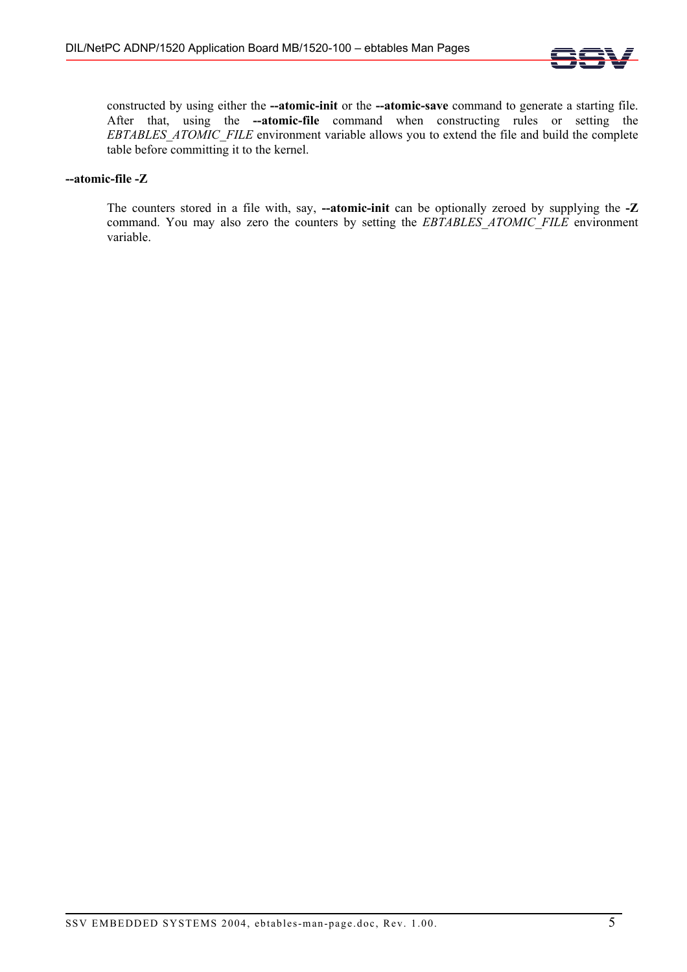

constructed by using either the **--atomic-init** or the **--atomic-save** command to generate a starting file. After that, using the **--atomic-file** command when constructing rules or setting the *EBTABLES\_ATOMIC\_FILE* environment variable allows you to extend the file and build the complete table before committing it to the kernel.

# **--atomic-file -Z**

The counters stored in a file with, say, **--atomic-init** can be optionally zeroed by supplying the **-Z** command. You may also zero the counters by setting the *EBTABLES\_ATOMIC\_FILE* environment variable.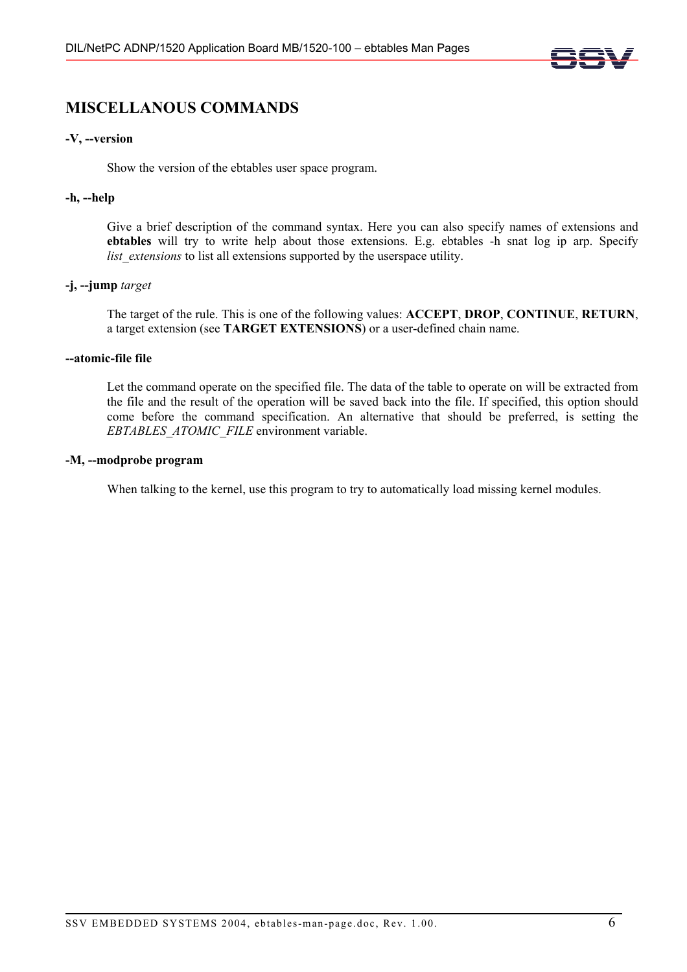

# **MISCELLANOUS COMMANDS**

# **-V, --version**

Show the version of the ebtables user space program.

### **-h, --help**

Give a brief description of the command syntax. Here you can also specify names of extensions and **ebtables** will try to write help about those extensions. E.g. ebtables -h snat log ip arp. Specify *list* extensions to list all extensions supported by the userspace utility.

# **-j, --jump** *target*

The target of the rule. This is one of the following values: **ACCEPT**, **DROP**, **CONTINUE**, **RETURN**, a target extension (see **TARGET EXTENSIONS**) or a user-defined chain name.

### **--atomic-file file**

Let the command operate on the specified file. The data of the table to operate on will be extracted from the file and the result of the operation will be saved back into the file. If specified, this option should come before the command specification. An alternative that should be preferred, is setting the *EBTABLES\_ATOMIC\_FILE* environment variable.

# **-M, --modprobe program**

When talking to the kernel, use this program to try to automatically load missing kernel modules.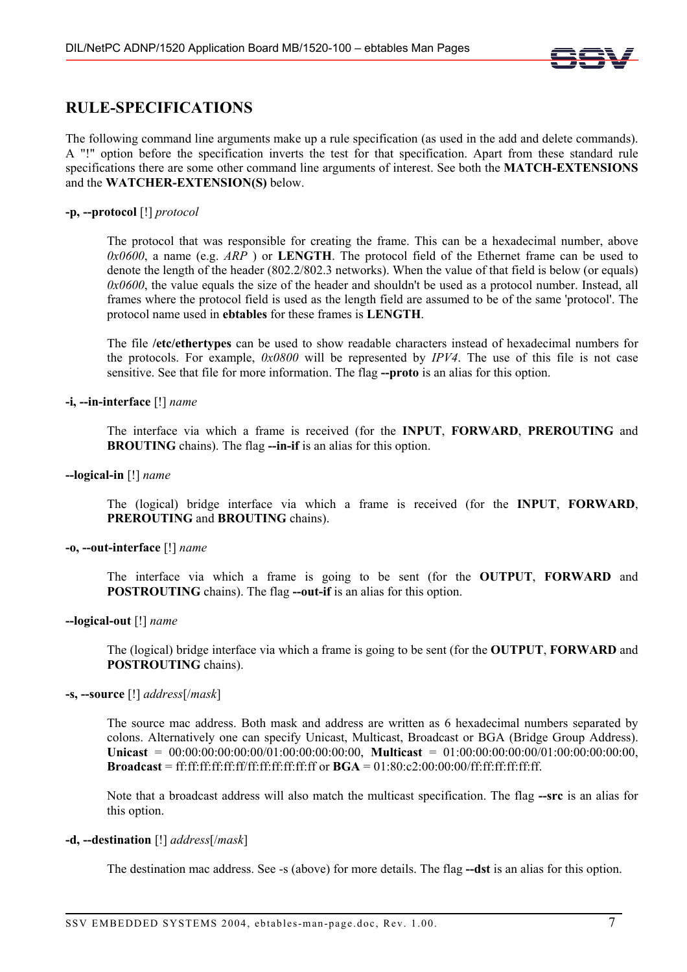

# **RULE-SPECIFICATIONS**

The following command line arguments make up a rule specification (as used in the add and delete commands). A "!" option before the specification inverts the test for that specification. Apart from these standard rule specifications there are some other command line arguments of interest. See both the **MATCH-EXTENSIONS** and the **WATCHER-EXTENSION(S)** below.

### **-p, --protocol** [!] *protocol*

The protocol that was responsible for creating the frame. This can be a hexadecimal number, above *0x0600*, a name (e.g. *ARP* ) or **LENGTH**. The protocol field of the Ethernet frame can be used to denote the length of the header (802.2/802.3 networks). When the value of that field is below (or equals) *0x0600*, the value equals the size of the header and shouldn't be used as a protocol number. Instead, all frames where the protocol field is used as the length field are assumed to be of the same 'protocol'. The protocol name used in **ebtables** for these frames is **LENGTH**.

The file **/etc/ethertypes** can be used to show readable characters instead of hexadecimal numbers for the protocols. For example, *0x0800* will be represented by *IPV4*. The use of this file is not case sensitive. See that file for more information. The flag --proto is an alias for this option.

**-i, --in-interface** [!] *name*

The interface via which a frame is received (for the **INPUT**, **FORWARD**, **PREROUTING** and **BROUTING** chains). The flag **--in-if** is an alias for this option.

### **--logical-in** [!] *name*

The (logical) bridge interface via which a frame is received (for the **INPUT**, **FORWARD**, **PREROUTING** and **BROUTING** chains).

### **-o, --out-interface** [!] *name*

The interface via which a frame is going to be sent (for the **OUTPUT**, **FORWARD** and **POSTROUTING** chains). The flag **--out-if** is an alias for this option.

### **--logical-out** [!] *name*

The (logical) bridge interface via which a frame is going to be sent (for the **OUTPUT**, **FORWARD** and **POSTROUTING** chains).

### **-s, --source** [!] *address*[/*mask*]

The source mac address. Both mask and address are written as 6 hexadecimal numbers separated by colons. Alternatively one can specify Unicast, Multicast, Broadcast or BGA (Bridge Group Address). **Unicast** = 00:00:00:00:00:00/01:00:00:00:00:00, **Multicast** = 01:00:00:00:00:00/01:00:00:00:00:00, **Broadcast** = ff:ff:ff:ff:ff:ff/ff:ff:ff:ff:ff:ff or **BGA** = 01:80:c2:00:00:00/ff:ff:ff:ff:ff:ff.

Note that a broadcast address will also match the multicast specification. The flag **--src** is an alias for this option.

# **-d, --destination** [!] *address*[/*mask*]

The destination mac address. See -s (above) for more details. The flag **--dst** is an alias for this option.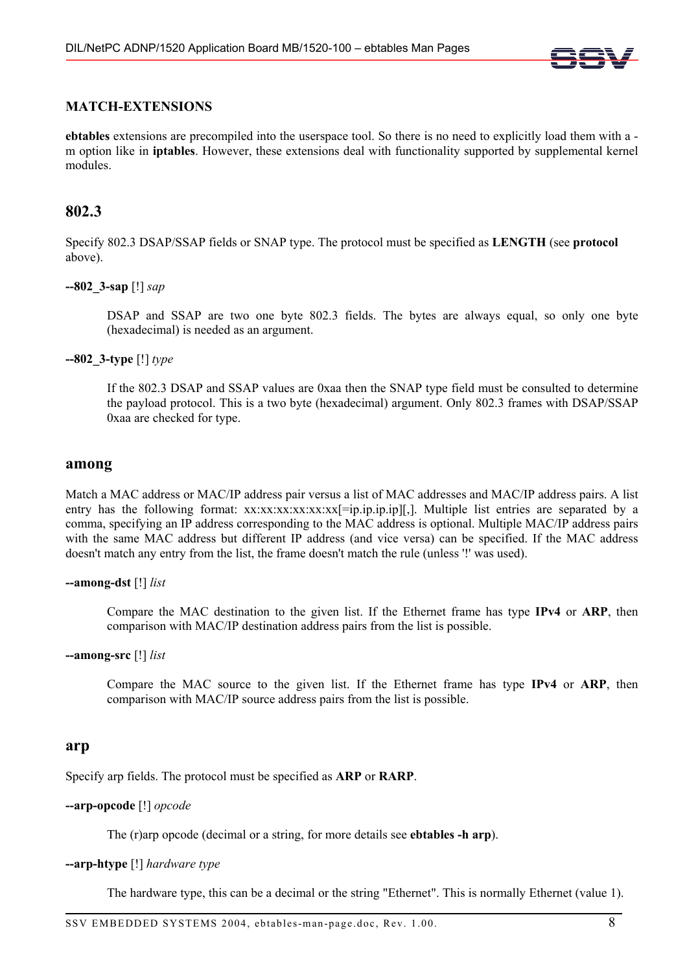

# **MATCH-EXTENSIONS**

**ebtables** extensions are precompiled into the userspace tool. So there is no need to explicitly load them with a m option like in **iptables**. However, these extensions deal with functionality supported by supplemental kernel modules.

# **802.3**

Specify 802.3 DSAP/SSAP fields or SNAP type. The protocol must be specified as **LENGTH** (see **protocol**  above).

# **--802\_3-sap** [!] *sap*

DSAP and SSAP are two one byte 802.3 fields. The bytes are always equal, so only one byte (hexadecimal) is needed as an argument.

**--802\_3-type** [!] *type*

If the 802.3 DSAP and SSAP values are 0xaa then the SNAP type field must be consulted to determine the payload protocol. This is a two byte (hexadecimal) argument. Only 802.3 frames with DSAP/SSAP 0xaa are checked for type.

### **among**

Match a MAC address or MAC/IP address pair versus a list of MAC addresses and MAC/IP address pairs. A list entry has the following format: xx:xx:xx:xx:xx:xx:xx|=ip.ip.ip.jp][,]. Multiple list entries are separated by a comma, specifying an IP address corresponding to the MAC address is optional. Multiple MAC/IP address pairs with the same MAC address but different IP address (and vice versa) can be specified. If the MAC address doesn't match any entry from the list, the frame doesn't match the rule (unless '!' was used).

### **--among-dst** [!] *list*

Compare the MAC destination to the given list. If the Ethernet frame has type **IPv4** or **ARP**, then comparison with MAC/IP destination address pairs from the list is possible.

### **--among-src** [!] *list*

Compare the MAC source to the given list. If the Ethernet frame has type **IPv4** or **ARP**, then comparison with MAC/IP source address pairs from the list is possible.

# **arp**

Specify arp fields. The protocol must be specified as **ARP** or **RARP**.

### **--arp-opcode** [!] *opcode*

The (r)arp opcode (decimal or a string, for more details see **ebtables -h arp**).

# **--arp-htype** [!] *hardware type*

The hardware type, this can be a decimal or the string "Ethernet". This is normally Ethernet (value 1).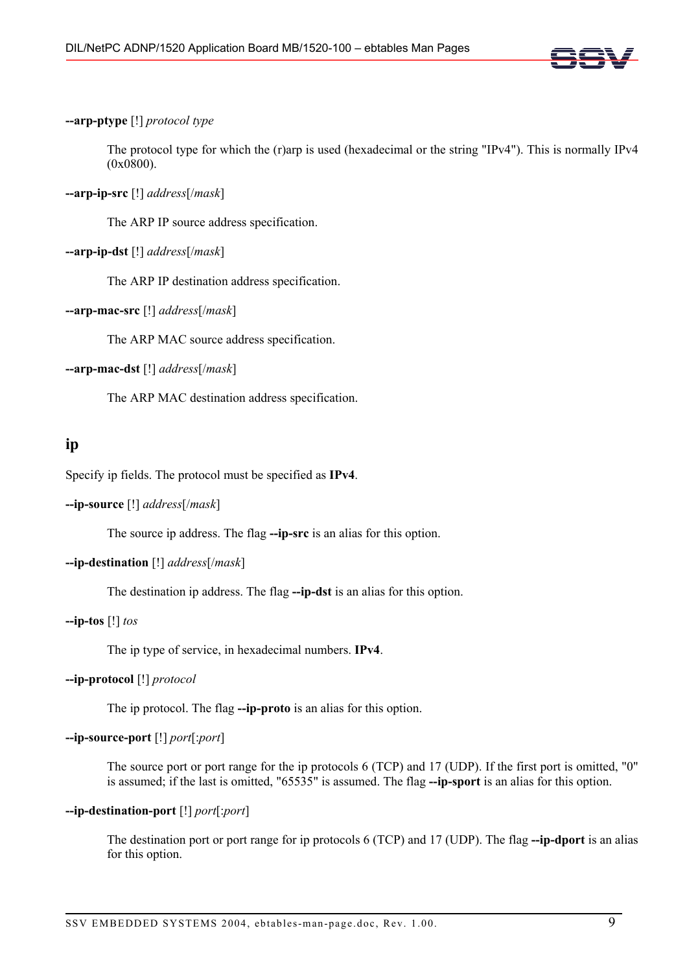

# **--arp-ptype** [!] *protocol type*

The protocol type for which the (r)arp is used (hexadecimal or the string "IPv4"). This is normally IPv4 (0x0800).

# **--arp-ip-src** [!] *address*[/*mask*]

The ARP IP source address specification.

# **--arp-ip-dst** [!] *address*[/*mask*]

The ARP IP destination address specification.

# **--arp-mac-src** [!] *address*[/*mask*]

The ARP MAC source address specification.

# **--arp-mac-dst** [!] *address*[/*mask*]

The ARP MAC destination address specification.

# **ip**

Specify ip fields. The protocol must be specified as **IPv4**.

# **--ip-source** [!] *address*[/*mask*]

The source ip address. The flag **--ip-src** is an alias for this option.

# **--ip-destination** [!] *address*[/*mask*]

The destination ip address. The flag **--ip-dst** is an alias for this option.

# **--ip-tos** [!] *tos*

The ip type of service, in hexadecimal numbers. **IPv4**.

# **--ip-protocol** [!] *protocol*

The ip protocol. The flag **--ip-proto** is an alias for this option.

# **--ip-source-port** [!] *port*[:*port*]

The source port or port range for the ip protocols 6 (TCP) and 17 (UDP). If the first port is omitted, "0" is assumed; if the last is omitted, "65535" is assumed. The flag **--ip-sport** is an alias for this option.

# **--ip-destination-port** [!] *port*[:*port*]

The destination port or port range for ip protocols 6 (TCP) and 17 (UDP). The flag **--ip-dport** is an alias for this option.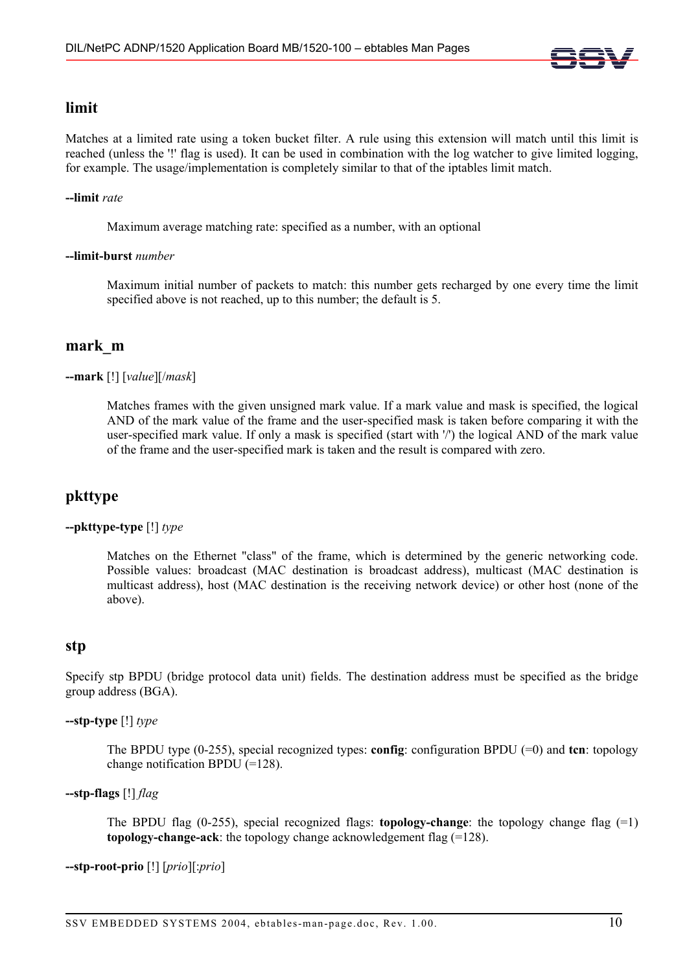

# **limit**

Matches at a limited rate using a token bucket filter. A rule using this extension will match until this limit is reached (unless the '!' flag is used). It can be used in combination with the log watcher to give limited logging, for example. The usage/implementation is completely similar to that of the iptables limit match.

# **--limit** *rate*

Maximum average matching rate: specified as a number, with an optional

### **--limit-burst** *number*

Maximum initial number of packets to match: this number gets recharged by one every time the limit specified above is not reached, up to this number; the default is 5.

# **mark\_m**

# **--mark** [!] [*value*][/*mask*]

Matches frames with the given unsigned mark value. If a mark value and mask is specified, the logical AND of the mark value of the frame and the user-specified mask is taken before comparing it with the user-specified mark value. If only a mask is specified (start with '/') the logical AND of the mark value of the frame and the user-specified mark is taken and the result is compared with zero.

# **pkttype**

# **--pkttype-type** [!] *type*

Matches on the Ethernet "class" of the frame, which is determined by the generic networking code. Possible values: broadcast (MAC destination is broadcast address), multicast (MAC destination is multicast address), host (MAC destination is the receiving network device) or other host (none of the above).

# **stp**

Specify stp BPDU (bridge protocol data unit) fields. The destination address must be specified as the bridge group address (BGA).

### **--stp-type** [!] *type*

The BPDU type (0-255), special recognized types: **config**: configuration BPDU (=0) and **tcn**: topology change notification BPDU (=128).

# **--stp-flags** [!] *flag*

The BPDU flag (0-255), special recognized flags: **topology-change**: the topology change flag (=1) **topology-change-ack**: the topology change acknowledgement flag (=128).

**--stp-root-prio** [!] [*prio*][:*prio*]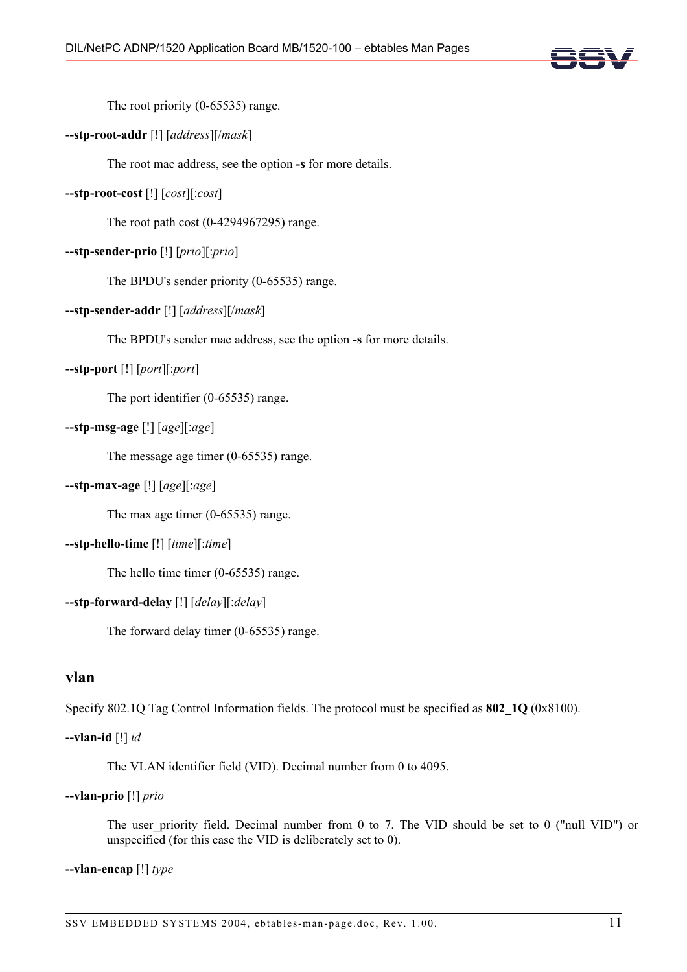

The root priority (0-65535) range.

# **--stp-root-addr** [!] [*address*][/*mask*]

The root mac address, see the option **-s** for more details.

# **--stp-root-cost** [!] [*cost*][:*cost*]

The root path cost (0-4294967295) range.

# **--stp-sender-prio** [!] [*prio*][:*prio*]

The BPDU's sender priority (0-65535) range.

# **--stp-sender-addr** [!] [*address*][/*mask*]

The BPDU's sender mac address, see the option **-s** for more details.

# **--stp-port** [!] [*port*][:*port*]

The port identifier (0-65535) range.

# **--stp-msg-age** [!] [*age*][:*age*]

The message age timer (0-65535) range.

# **--stp-max-age** [!] [*age*][:*age*]

The max age timer (0-65535) range.

# **--stp-hello-time** [!] [*time*][:*time*]

The hello time timer (0-65535) range.

# **--stp-forward-delay** [!] [*delay*][:*delay*]

The forward delay timer (0-65535) range.

# **vlan**

Specify 802.1Q Tag Control Information fields. The protocol must be specified as **802\_1Q** (0x8100).

# **--vlan-id** [!] *id*

The VLAN identifier field (VID). Decimal number from 0 to 4095.

# **--vlan-prio** [!] *prio*

The user priority field. Decimal number from 0 to 7. The VID should be set to 0 ("null VID") or unspecified (for this case the VID is deliberately set to 0).

# **--vlan-encap** [!] *type*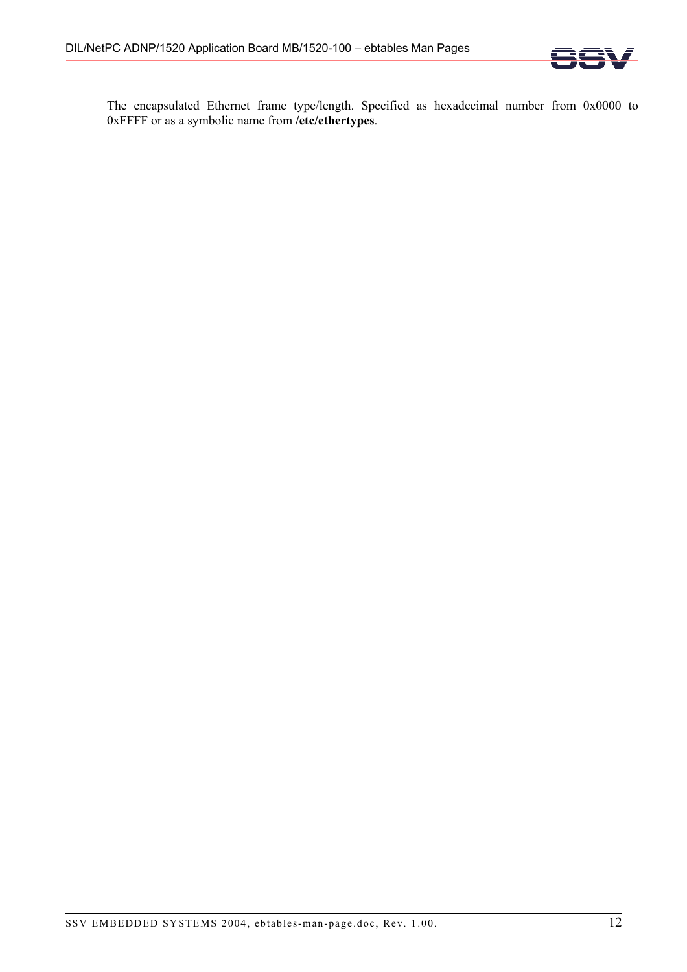

The encapsulated Ethernet frame type/length. Specified as hexadecimal number from 0x0000 to 0xFFFF or as a symbolic name from **/etc/ethertypes**.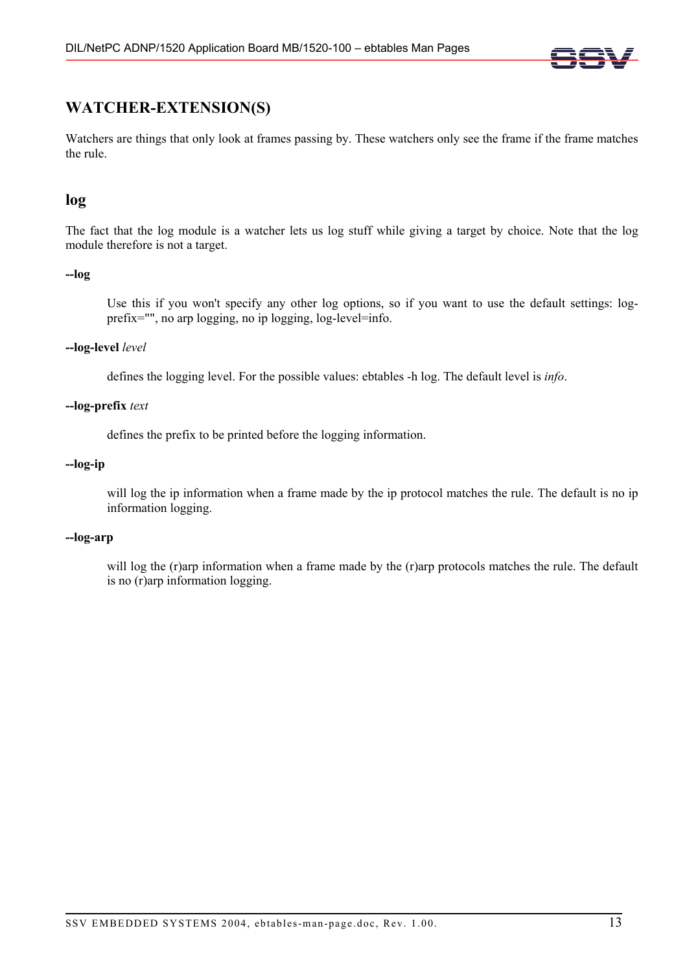

# **WATCHER-EXTENSION(S)**

Watchers are things that only look at frames passing by. These watchers only see the frame if the frame matches the rule.

# **log**

The fact that the log module is a watcher lets us log stuff while giving a target by choice. Note that the log module therefore is not a target.

# **--log**

Use this if you won't specify any other log options, so if you want to use the default settings: logprefix="", no arp logging, no ip logging, log-level=info.

# **--log-level** *level*

defines the logging level. For the possible values: ebtables -h log. The default level is *info*.

# **--log-prefix** *text*

defines the prefix to be printed before the logging information.

# **--log-ip**

will log the ip information when a frame made by the ip protocol matches the rule. The default is no ip information logging.

# **--log-arp**

will log the (r)arp information when a frame made by the (r)arp protocols matches the rule. The default is no (r)arp information logging.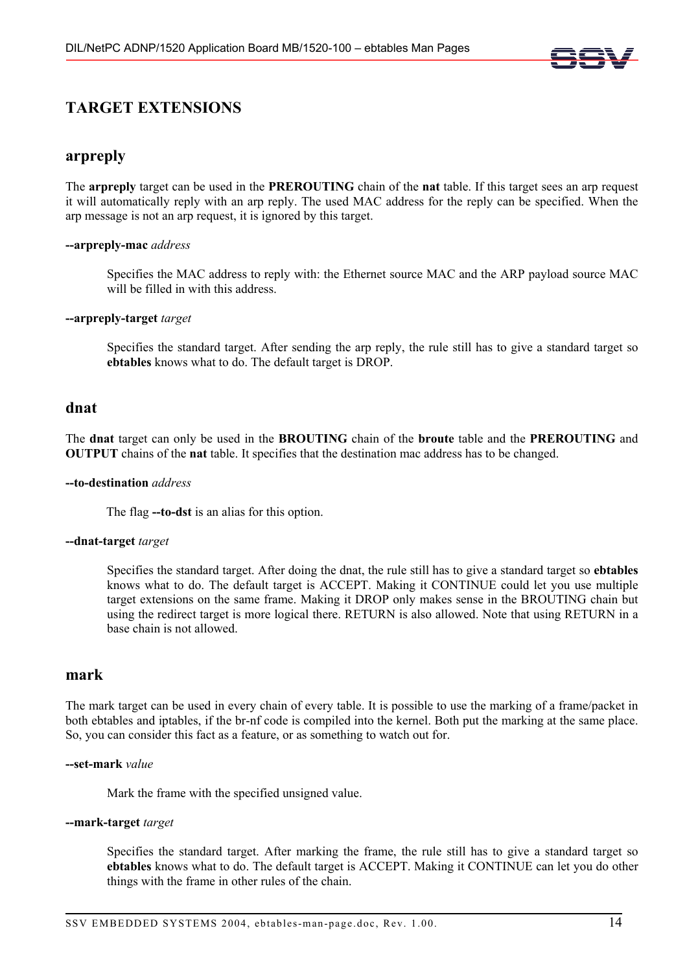

# **TARGET EXTENSIONS**

# **arpreply**

The **arpreply** target can be used in the **PREROUTING** chain of the **nat** table. If this target sees an arp request it will automatically reply with an arp reply. The used MAC address for the reply can be specified. When the arp message is not an arp request, it is ignored by this target.

# **--arpreply-mac** *address*

Specifies the MAC address to reply with: the Ethernet source MAC and the ARP payload source MAC will be filled in with this address.

### **--arpreply-target** *target*

Specifies the standard target. After sending the arp reply, the rule still has to give a standard target so **ebtables** knows what to do. The default target is DROP.

# **dnat**

The **dnat** target can only be used in the **BROUTING** chain of the **broute** table and the **PREROUTING** and **OUTPUT** chains of the **nat** table. It specifies that the destination mac address has to be changed.

### **--to-destination** *address*

The flag **--to-dst** is an alias for this option.

### **--dnat-target** *target*

Specifies the standard target. After doing the dnat, the rule still has to give a standard target so **ebtables** knows what to do. The default target is ACCEPT. Making it CONTINUE could let you use multiple target extensions on the same frame. Making it DROP only makes sense in the BROUTING chain but using the redirect target is more logical there. RETURN is also allowed. Note that using RETURN in a base chain is not allowed.

# **mark**

The mark target can be used in every chain of every table. It is possible to use the marking of a frame/packet in both ebtables and iptables, if the br-nf code is compiled into the kernel. Both put the marking at the same place. So, you can consider this fact as a feature, or as something to watch out for.

### **--set-mark** *value*

Mark the frame with the specified unsigned value.

### **--mark-target** *target*

Specifies the standard target. After marking the frame, the rule still has to give a standard target so **ebtables** knows what to do. The default target is ACCEPT. Making it CONTINUE can let you do other things with the frame in other rules of the chain.